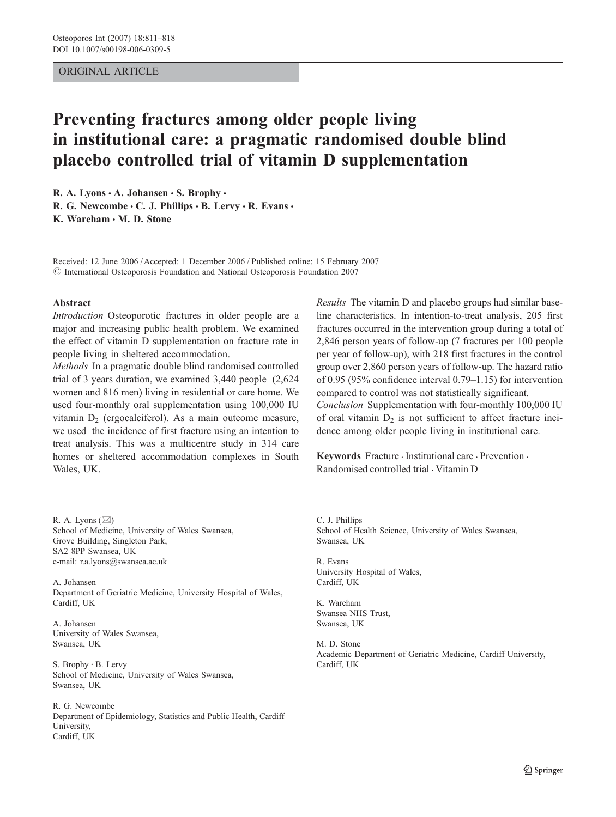# ORIGINAL ARTICLE

# Preventing fractures among older people living in institutional care: a pragmatic randomised double blind placebo controlled trial of vitamin D supplementation

R. A. Lyons  $\cdot$  A. Johansen  $\cdot$  S. Brophy  $\cdot$ R. G. Newcombe  $\cdot$  C. J. Phillips  $\cdot$  B. Lervy  $\cdot$  R. Evans  $\cdot$ 

K. Wareham  $\cdot$  M. D. Stone

Received: 12 June 2006 /Accepted: 1 December 2006 / Published online: 15 February 2007 © International Osteoporosis Foundation and National Osteoporosis Foundation 2007

### Abstract

Introduction Osteoporotic fractures in older people are a major and increasing public health problem. We examined the effect of vitamin D supplementation on fracture rate in people living in sheltered accommodation.

Methods In a pragmatic double blind randomised controlled trial of 3 years duration, we examined 3,440 people (2,624 women and 816 men) living in residential or care home. We used four-monthly oral supplementation using 100,000 IU vitamin  $D_2$  (ergocalciferol). As a main outcome measure, we used the incidence of first fracture using an intention to treat analysis. This was a multicentre study in 314 care homes or sheltered accommodation complexes in South Wales, UK.

R. A. Lyons  $(\boxtimes)$ School of Medicine, University of Wales Swansea, Grove Building, Singleton Park, SA2 8PP Swansea, UK e-mail: r.a.lyons@swansea.ac.uk

A. Johansen Department of Geriatric Medicine, University Hospital of Wales, Cardiff, UK

A. Johansen University of Wales Swansea, Swansea, UK

S. Brophy : B. Lervy School of Medicine, University of Wales Swansea, Swansea, UK

R. G. Newcombe Department of Epidemiology, Statistics and Public Health, Cardiff University, Cardiff, UK

Results The vitamin D and placebo groups had similar baseline characteristics. In intention-to-treat analysis, 205 first fractures occurred in the intervention group during a total of 2,846 person years of follow-up (7 fractures per 100 people per year of follow-up), with 218 first fractures in the control group over 2,860 person years of follow-up. The hazard ratio of 0.95 (95% confidence interval 0.79–1.15) for intervention compared to control was not statistically significant. Conclusion Supplementation with four-monthly 100,000 IU of oral vitamin  $D_2$  is not sufficient to affect fracture incidence among older people living in institutional care.

Keywords Fracture . Institutional care . Prevention . Randomised controlled trial . Vitamin D

C. J. Phillips School of Health Science, University of Wales Swansea, Swansea, UK

R. Evans University Hospital of Wales, Cardiff, UK

K. Wareham Swansea NHS Trust, Swansea, UK

M. D. Stone Academic Department of Geriatric Medicine, Cardiff University, Cardiff, UK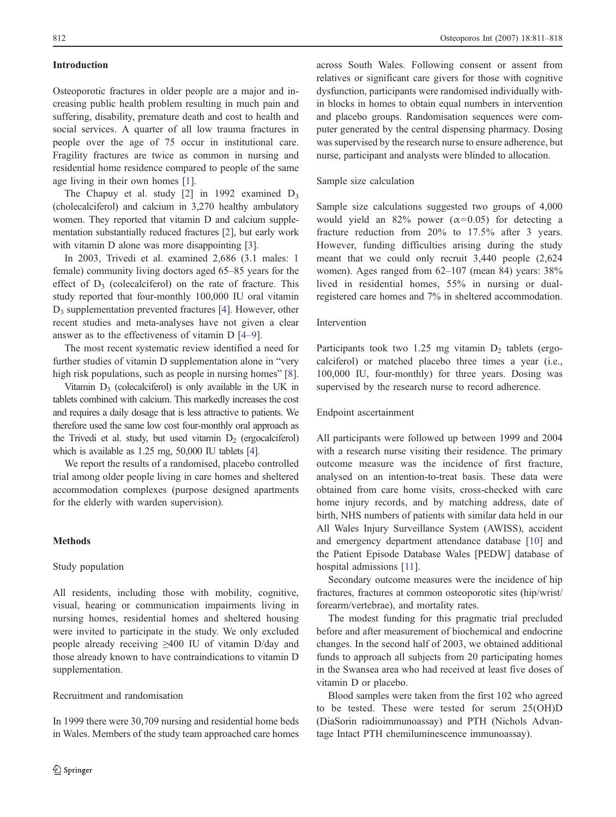# Introduction

Osteoporotic fractures in older people are a major and increasing public health problem resulting in much pain and suffering, disability, premature death and cost to health and social services. A quarter of all low trauma fractures in people over the age of 75 occur in institutional care. Fragility fractures are twice as common in nursing and residential home residence compared to people of the same age living in their own homes [\[1](#page-6-0)].

The Chapuy et al. study  $[2]$  $[2]$  in 1992 examined  $D_3$ (cholecalciferol) and calcium in 3,270 healthy ambulatory women. They reported that vitamin D and calcium supplementation substantially reduced fractures [[2\]](#page-6-0), but early work with vitamin D alone was more disappointing [[3\]](#page-6-0).

In 2003, Trivedi et al. examined 2,686 (3.1 males: 1 female) community living doctors aged 65–85 years for the effect of  $D_3$  (colecalciferol) on the rate of fracture. This study reported that four-monthly 100,000 IU oral vitamin D3 supplementation prevented fractures [\[4](#page-6-0)]. However, other recent studies and meta-analyses have not given a clear answer as to the effectiveness of vitamin D [\[4](#page-6-0)–[9](#page-7-0)].

The most recent systematic review identified a need for further studies of vitamin D supplementation alone in "very high risk populations, such as people in nursing homes" [\[8](#page-6-0)].

Vitamin  $D_3$  (colecalciferol) is only available in the UK in tablets combined with calcium. This markedly increases the cost and requires a daily dosage that is less attractive to patients. We therefore used the same low cost four-monthly oral approach as the Trivedi et al. study, but used vitamin  $D_2$  (ergocalciferol) which is available as 1.25 mg, 50,000 IU tablets [[4](#page-6-0)].

We report the results of a randomised, placebo controlled trial among older people living in care homes and sheltered accommodation complexes (purpose designed apartments for the elderly with warden supervision).

# Methods

## Study population

All residents, including those with mobility, cognitive, visual, hearing or communication impairments living in nursing homes, residential homes and sheltered housing were invited to participate in the study. We only excluded people already receiving ≥400 IU of vitamin D/day and those already known to have contraindications to vitamin D supplementation.

## Recruitment and randomisation

In 1999 there were 30,709 nursing and residential home beds in Wales. Members of the study team approached care homes

across South Wales. Following consent or assent from relatives or significant care givers for those with cognitive dysfunction, participants were randomised individually within blocks in homes to obtain equal numbers in intervention and placebo groups. Randomisation sequences were computer generated by the central dispensing pharmacy. Dosing was supervised by the research nurse to ensure adherence, but nurse, participant and analysts were blinded to allocation.

## Sample size calculation

Sample size calculations suggested two groups of 4,000 would yield an 82% power  $(\alpha=0.05)$  for detecting a fracture reduction from 20% to 17.5% after 3 years. However, funding difficulties arising during the study meant that we could only recruit 3,440 people (2,624 women). Ages ranged from 62–107 (mean 84) years: 38% lived in residential homes, 55% in nursing or dualregistered care homes and 7% in sheltered accommodation.

#### Intervention

Participants took two 1.25 mg vitamin  $D_2$  tablets (ergocalciferol) or matched placebo three times a year (i.e., 100,000 IU, four-monthly) for three years. Dosing was supervised by the research nurse to record adherence.

### Endpoint ascertainment

All participants were followed up between 1999 and 2004 with a research nurse visiting their residence. The primary outcome measure was the incidence of first fracture, analysed on an intention-to-treat basis. These data were obtained from care home visits, cross-checked with care home injury records, and by matching address, date of birth, NHS numbers of patients with similar data held in our All Wales Injury Surveillance System (AWISS), accident and emergency department attendance database [[10\]](#page-7-0) and the Patient Episode Database Wales [PEDW] database of hospital admissions [\[11\]](#page-7-0).

Secondary outcome measures were the incidence of hip fractures, fractures at common osteoporotic sites (hip/wrist/ forearm/vertebrae), and mortality rates.

The modest funding for this pragmatic trial precluded before and after measurement of biochemical and endocrine changes. In the second half of 2003, we obtained additional funds to approach all subjects from 20 participating homes in the Swansea area who had received at least five doses of vitamin D or placebo.

Blood samples were taken from the first 102 who agreed to be tested. These were tested for serum 25(OH)D (DiaSorin radioimmunoassay) and PTH (Nichols Advantage Intact PTH chemiluminescence immunoassay).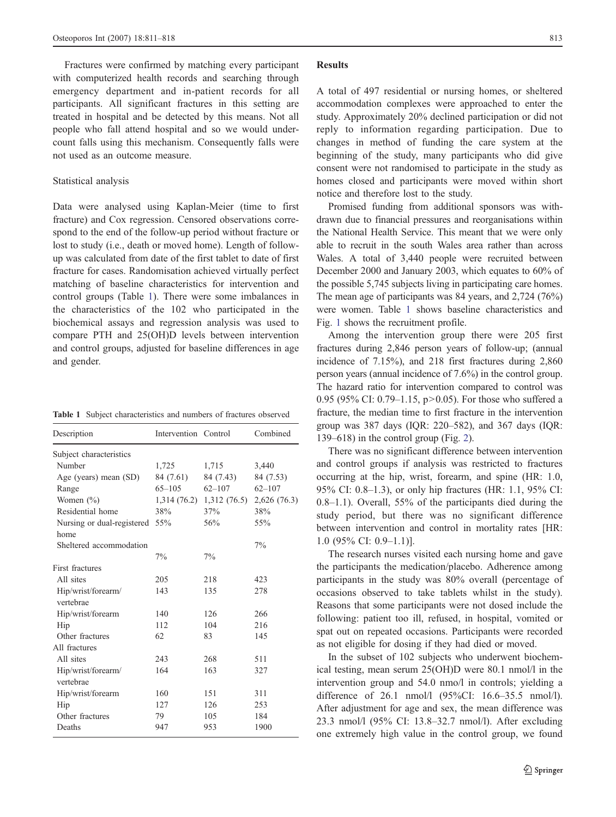Fractures were confirmed by matching every participant with computerized health records and searching through emergency department and in-patient records for all participants. All significant fractures in this setting are treated in hospital and be detected by this means. Not all people who fall attend hospital and so we would undercount falls using this mechanism. Consequently falls were not used as an outcome measure.

#### Statistical analysis

Data were analysed using Kaplan-Meier (time to first fracture) and Cox regression. Censored observations correspond to the end of the follow-up period without fracture or lost to study (i.e., death or moved home). Length of followup was calculated from date of the first tablet to date of first fracture for cases. Randomisation achieved virtually perfect matching of baseline characteristics for intervention and control groups (Table 1). There were some imbalances in the characteristics of the 102 who participated in the biochemical assays and regression analysis was used to compare PTH and 25(OH)D levels between intervention and control groups, adjusted for baseline differences in age and gender.

| Description                     | Intervention Control |                                        | Combined   |
|---------------------------------|----------------------|----------------------------------------|------------|
| Subject characteristics         |                      |                                        |            |
| Number                          | 1,725                | 1,715                                  | 3,440      |
| Age (years) mean (SD)           | 84 (7.61)            | 84 (7.43)                              | 84 (7.53)  |
| Range                           | $65 - 105$           | $62 - 107$                             | $62 - 107$ |
| Women $(\% )$                   |                      | 1,314 (76.2) 1,312 (76.5) 2,626 (76.3) |            |
| Residential home                | 38%                  | 37%                                    | 38%        |
| Nursing or dual-registered      | 55%                  | 56%                                    | 55%        |
| home                            |                      |                                        |            |
| Sheltered accommodation         |                      |                                        | $7\%$      |
|                                 | 7%                   | $7\%$                                  |            |
| First fractures                 |                      |                                        |            |
| All sites                       | 205                  | 218                                    | 423        |
| Hip/wrist/forearm/<br>vertebrae | 143                  | 135                                    | 278        |
| Hip/wrist/forearm               | 140                  | 126                                    | 266        |
| Hip                             | 112                  | 104                                    | 216        |
| Other fractures                 | 62                   | 83                                     | 145        |
| All fractures                   |                      |                                        |            |
| All sites                       | 243                  | 268                                    | 511        |
| Hip/wrist/forearm/              | 164                  | 163                                    | 327        |
| vertebrae                       |                      |                                        |            |
| Hip/wrist/forearm               | 160                  | 151                                    | 311        |
| Hip                             | 127                  | 126                                    | 253        |
| Other fractures                 | 79                   | 105                                    | 184        |
| Deaths                          | 947                  | 953                                    | 1900       |

#### Results

A total of 497 residential or nursing homes, or sheltered accommodation complexes were approached to enter the study. Approximately 20% declined participation or did not reply to information regarding participation. Due to changes in method of funding the care system at the beginning of the study, many participants who did give consent were not randomised to participate in the study as homes closed and participants were moved within short notice and therefore lost to the study.

Promised funding from additional sponsors was withdrawn due to financial pressures and reorganisations within the National Health Service. This meant that we were only able to recruit in the south Wales area rather than across Wales. A total of 3,440 people were recruited between December 2000 and January 2003, which equates to 60% of the possible 5,745 subjects living in participating care homes. The mean age of participants was 84 years, and 2,724 (76%) were women. Table 1 shows baseline characteristics and Fig. [1](#page-3-0) shows the recruitment profile.

Among the intervention group there were 205 first fractures during 2,846 person years of follow-up; (annual incidence of 7.15%), and 218 first fractures during 2,860 person years (annual incidence of 7.6%) in the control group. The hazard ratio for intervention compared to control was 0.95 (95% CI: 0.79–1.15, p>0.05). For those who suffered a fracture, the median time to first fracture in the intervention group was 387 days (IQR: 220–582), and 367 days (IQR: 139–618) in the control group (Fig. [2](#page-4-0)).

There was no significant difference between intervention and control groups if analysis was restricted to fractures occurring at the hip, wrist, forearm, and spine (HR: 1.0, 95% CI: 0.8–1.3), or only hip fractures (HR: 1.1, 95% CI: 0.8–1.1). Overall, 55% of the participants died during the study period, but there was no significant difference between intervention and control in mortality rates [HR: 1.0 (95% CI: 0.9–1.1)].

The research nurses visited each nursing home and gave the participants the medication/placebo. Adherence among participants in the study was 80% overall (percentage of occasions observed to take tablets whilst in the study). Reasons that some participants were not dosed include the following: patient too ill, refused, in hospital, vomited or spat out on repeated occasions. Participants were recorded as not eligible for dosing if they had died or moved.

In the subset of 102 subjects who underwent biochemical testing, mean serum 25(OH)D were 80.1 nmol/l in the intervention group and 54.0 nmo/l in controls; yielding a difference of 26.1 nmol/l (95%CI: 16.6–35.5 nmol/l). After adjustment for age and sex, the mean difference was 23.3 nmol/l (95% CI: 13.8–32.7 nmol/l). After excluding one extremely high value in the control group, we found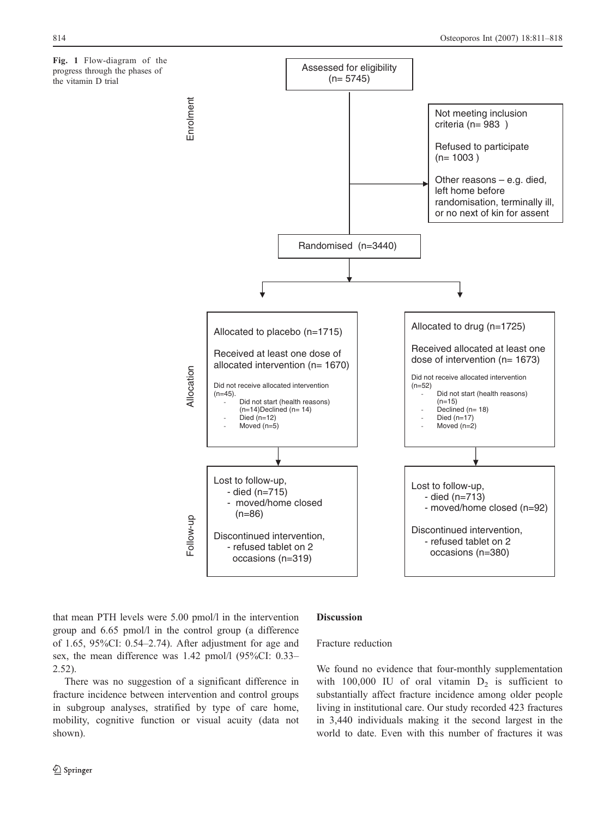<span id="page-3-0"></span>Fig. 1 Flow-diagram of the progress through the phases of the vitamin D trial



that mean PTH levels were 5.00 pmol/l in the intervention group and 6.65 pmol/l in the control group (a difference of 1.65, 95%CI: 0.54–2.74). After adjustment for age and sex, the mean difference was 1.42 pmol/l (95%CI: 0.33– 2.52).

## Discussion

## Fracture reduction

There was no suggestion of a significant difference in fracture incidence between intervention and control groups in subgroup analyses, stratified by type of care home, mobility, cognitive function or visual acuity (data not shown).

We found no evidence that four-monthly supplementation with 100,000 IU of oral vitamin  $D_2$  is sufficient to substantially affect fracture incidence among older people living in institutional care. Our study recorded 423 fractures in 3,440 individuals making it the second largest in the world to date. Even with this number of fractures it was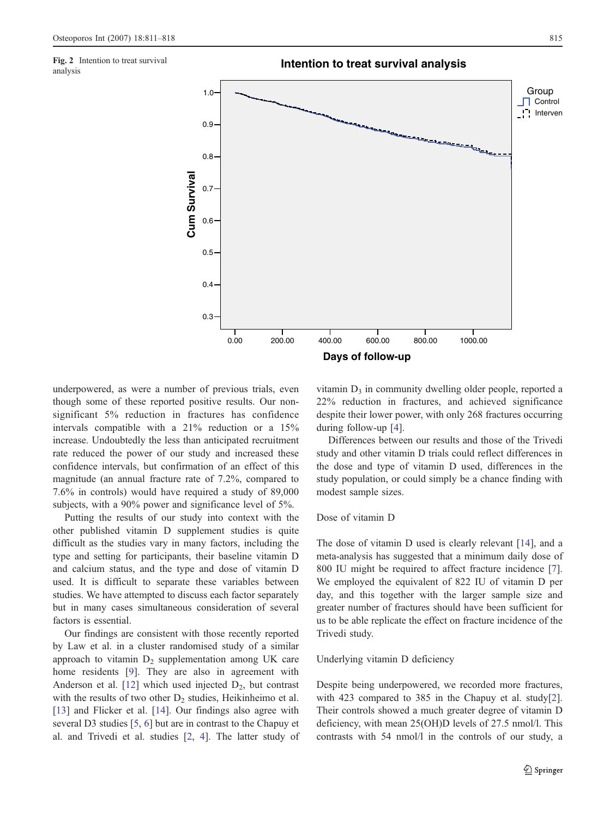analysis

<span id="page-4-0"></span>

underpowered, as were a number of previous trials, even though some of these reported positive results. Our nonsignificant 5% reduction in fractures has confidence intervals compatible with a 21% reduction or a 15% increase. Undoubtedly the less than anticipated recruitment rate reduced the power of our study and increased these confidence intervals, but confirmation of an effect of this magnitude (an annual fracture rate of 7.2%, compared to 7.6% in controls) would have required a study of 89,000 subjects, with a 90% power and significance level of 5%.

Putting the results of our study into context with the other published vitamin D supplement studies is quite difficult as the studies vary in many factors, including the type and setting for participants, their baseline vitamin D and calcium status, and the type and dose of vitamin D used. It is difficult to separate these variables between studies. We have attempted to discuss each factor separately but in many cases simultaneous consideration of several factors is essential.

Our findings are consistent with those recently reported by Law et al. in a cluster randomised study of a similar approach to vitamin  $D_2$  supplementation among UK care home residents [[9\]](#page-7-0). They are also in agreement with Anderson et al.  $[12]$  $[12]$  which used injected  $D_2$ , but contrast with the results of two other  $D_2$  studies, Heikinheimo et al. [\[13](#page-7-0)] and Flicker et al. [\[14](#page-7-0)]. Our findings also agree with several D3 studies [\[5](#page-6-0), [6](#page-6-0)] but are in contrast to the Chapuy et al. and Trivedi et al. studies [[2,](#page-6-0) [4](#page-6-0)]. The latter study of vitamin  $D_3$  in community dwelling older people, reported a 22% reduction in fractures, and achieved significance despite their lower power, with only 268 fractures occurring during follow-up [[4\]](#page-6-0).

Differences between our results and those of the Trivedi study and other vitamin D trials could reflect differences in the dose and type of vitamin D used, differences in the study population, or could simply be a chance finding with modest sample sizes.

# Dose of vitamin D

The dose of vitamin D used is clearly relevant [[14\]](#page-7-0), and a meta-analysis has suggested that a minimum daily dose of 800 IU might be required to affect fracture incidence [[7\]](#page-6-0). We employed the equivalent of 822 IU of vitamin D per day, and this together with the larger sample size and greater number of fractures should have been sufficient for us to be able replicate the effect on fracture incidence of the Trivedi study.

# Underlying vitamin D deficiency

Despite being underpowered, we recorded more fractures, with 423 compared to 385 in the Chapuy et al. study[[2\]](#page-6-0). Their controls showed a much greater degree of vitamin D deficiency, with mean 25(OH)D levels of 27.5 nmol/l. This contrasts with 54 nmol/l in the controls of our study, a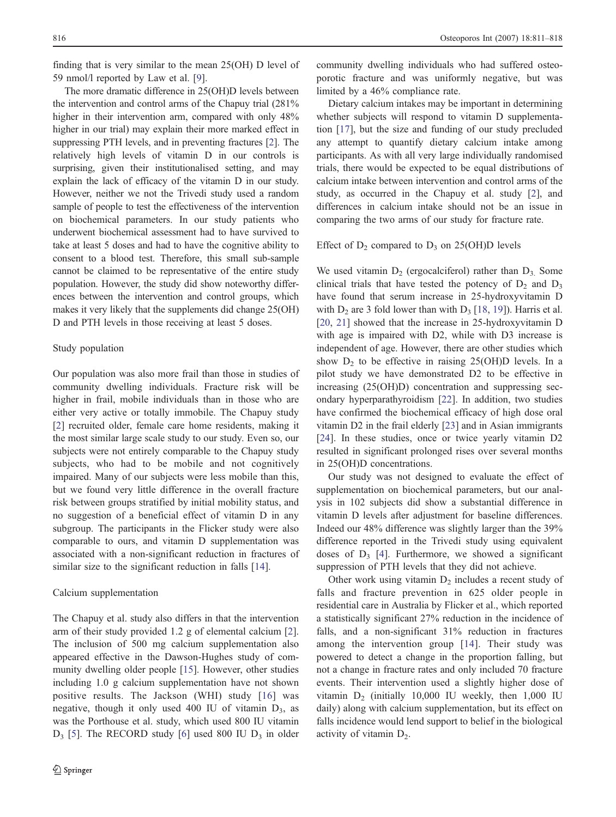finding that is very similar to the mean 25(OH) D level of 59 nmol/l reported by Law et al. [\[9](#page-7-0)].

The more dramatic difference in 25(OH)D levels between the intervention and control arms of the Chapuy trial (281% higher in their intervention arm, compared with only  $48\%$ higher in our trial) may explain their more marked effect in suppressing PTH levels, and in preventing fractures [\[2\]](#page-6-0). The relatively high levels of vitamin D in our controls is surprising, given their institutionalised setting, and may explain the lack of efficacy of the vitamin D in our study. However, neither we not the Trivedi study used a random sample of people to test the effectiveness of the intervention on biochemical parameters. In our study patients who underwent biochemical assessment had to have survived to take at least 5 doses and had to have the cognitive ability to consent to a blood test. Therefore, this small sub-sample cannot be claimed to be representative of the entire study population. However, the study did show noteworthy differences between the intervention and control groups, which makes it very likely that the supplements did change 25(OH) D and PTH levels in those receiving at least 5 doses.

# Study population

Our population was also more frail than those in studies of community dwelling individuals. Fracture risk will be higher in frail, mobile individuals than in those who are either very active or totally immobile. The Chapuy study [\[2](#page-6-0)] recruited older, female care home residents, making it the most similar large scale study to our study. Even so, our subjects were not entirely comparable to the Chapuy study subjects, who had to be mobile and not cognitively impaired. Many of our subjects were less mobile than this, but we found very little difference in the overall fracture risk between groups stratified by initial mobility status, and no suggestion of a beneficial effect of vitamin D in any subgroup. The participants in the Flicker study were also comparable to ours, and vitamin D supplementation was associated with a non-significant reduction in fractures of similar size to the significant reduction in falls [\[14](#page-7-0)].

#### Calcium supplementation

The Chapuy et al. study also differs in that the intervention arm of their study provided 1.2 g of elemental calcium [\[2](#page-6-0)]. The inclusion of 500 mg calcium supplementation also appeared effective in the Dawson-Hughes study of community dwelling older people [\[15](#page-7-0)]. However, other studies including 1.0 g calcium supplementation have not shown positive results. The Jackson (WHI) study [\[16\]](#page-7-0) was negative, though it only used 400 IU of vitamin  $D_3$ , as was the Porthouse et al. study, which used 800 IU vitamin  $D_3$  [[5\]](#page-6-0). The RECORD study [[6\]](#page-6-0) used 800 IU  $D_3$  in older community dwelling individuals who had suffered osteoporotic fracture and was uniformly negative, but was limited by a 46% compliance rate.

Dietary calcium intakes may be important in determining whether subjects will respond to vitamin D supplementation [\[17](#page-7-0)], but the size and funding of our study precluded any attempt to quantify dietary calcium intake among participants. As with all very large individually randomised trials, there would be expected to be equal distributions of calcium intake between intervention and control arms of the study, as occurred in the Chapuy et al. study [[2\]](#page-6-0), and differences in calcium intake should not be an issue in comparing the two arms of our study for fracture rate.

## Effect of  $D_2$  compared to  $D_3$  on 25(OH)D levels

We used vitamin  $D_2$  (ergocalciferol) rather than  $D_3$ . Some clinical trials that have tested the potency of  $D_2$  and  $D_3$ have found that serum increase in 25-hydroxyvitamin D with  $D_2$  are 3 fold lower than with  $D_3$  [[18,](#page-7-0) [19\]](#page-7-0)). Harris et al. [\[20](#page-7-0), [21](#page-7-0)] showed that the increase in 25-hydroxyvitamin D with age is impaired with D2, while with D3 increase is independent of age. However, there are other studies which show  $D_2$  to be effective in raising 25(OH)D levels. In a pilot study we have demonstrated D2 to be effective in increasing (25(OH)D) concentration and suppressing secondary hyperparathyroidism [\[22](#page-7-0)]. In addition, two studies have confirmed the biochemical efficacy of high dose oral vitamin D2 in the frail elderly [[23\]](#page-7-0) and in Asian immigrants [\[24](#page-7-0)]. In these studies, once or twice yearly vitamin D2 resulted in significant prolonged rises over several months in 25(OH)D concentrations.

Our study was not designed to evaluate the effect of supplementation on biochemical parameters, but our analysis in 102 subjects did show a substantial difference in vitamin D levels after adjustment for baseline differences. Indeed our 48% difference was slightly larger than the 39% difference reported in the Trivedi study using equivalent doses of  $D_3$  [[4\]](#page-6-0). Furthermore, we showed a significant suppression of PTH levels that they did not achieve.

Other work using vitamin  $D_2$  includes a recent study of falls and fracture prevention in 625 older people in residential care in Australia by Flicker et al., which reported a statistically significant 27% reduction in the incidence of falls, and a non-significant 31% reduction in fractures among the intervention group [[14](#page-7-0)]. Their study was powered to detect a change in the proportion falling, but not a change in fracture rates and only included 70 fracture events. Their intervention used a slightly higher dose of vitamin  $D_2$  (initially 10,000 IU weekly, then 1,000 IU daily) along with calcium supplementation, but its effect on falls incidence would lend support to belief in the biological activity of vitamin  $D_2$ .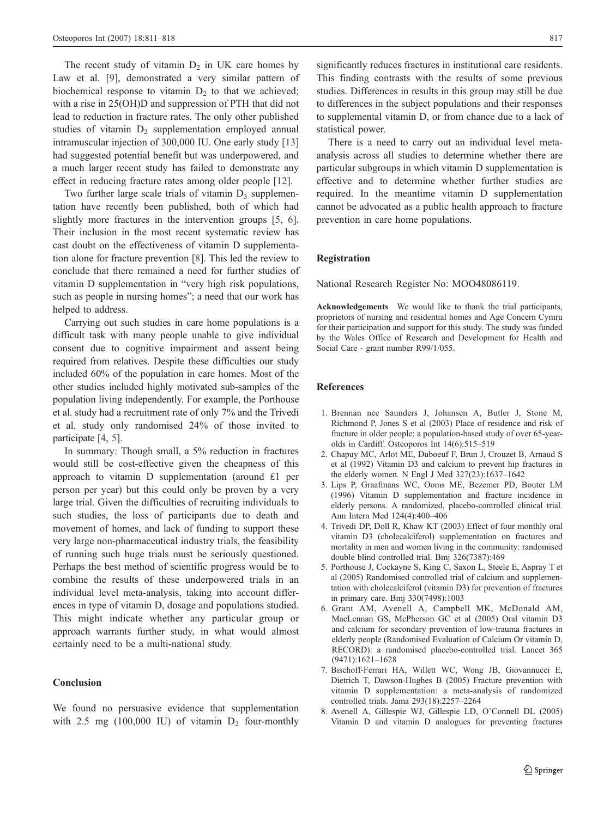<span id="page-6-0"></span>The recent study of vitamin  $D_2$  in UK care homes by Law et al. [[9\]](#page-7-0), demonstrated a very similar pattern of biochemical response to vitamin  $D_2$  to that we achieved; with a rise in 25(OH)D and suppression of PTH that did not lead to reduction in fracture rates. The only other published studies of vitamin  $D_2$  supplementation employed annual intramuscular injection of 300,000 IU. One early study [[13\]](#page-7-0) had suggested potential benefit but was underpowered, and a much larger recent study has failed to demonstrate any effect in reducing fracture rates among older people [[12\]](#page-7-0).

Two further large scale trials of vitamin  $D_3$  supplementation have recently been published, both of which had slightly more fractures in the intervention groups [5, 6]. Their inclusion in the most recent systematic review has cast doubt on the effectiveness of vitamin D supplementation alone for fracture prevention [8]. This led the review to conclude that there remained a need for further studies of vitamin D supplementation in "very high risk populations, such as people in nursing homes"; a need that our work has helped to address.

Carrying out such studies in care home populations is a difficult task with many people unable to give individual consent due to cognitive impairment and assent being required from relatives. Despite these difficulties our study included 60% of the population in care homes. Most of the other studies included highly motivated sub-samples of the population living independently. For example, the Porthouse et al. study had a recruitment rate of only 7% and the Trivedi et al. study only randomised 24% of those invited to participate [4, 5].

In summary: Though small, a 5% reduction in fractures would still be cost-effective given the cheapness of this approach to vitamin D supplementation (around £1 per person per year) but this could only be proven by a very large trial. Given the difficulties of recruiting individuals to such studies, the loss of participants due to death and movement of homes, and lack of funding to support these very large non-pharmaceutical industry trials, the feasibility of running such huge trials must be seriously questioned. Perhaps the best method of scientific progress would be to combine the results of these underpowered trials in an individual level meta-analysis, taking into account differences in type of vitamin D, dosage and populations studied. This might indicate whether any particular group or approach warrants further study, in what would almost certainly need to be a multi-national study.

#### Conclusion

We found no persuasive evidence that supplementation with 2.5 mg (100,000 IU) of vitamin  $D_2$  four-monthly

significantly reduces fractures in institutional care residents. This finding contrasts with the results of some previous studies. Differences in results in this group may still be due to differences in the subject populations and their responses to supplemental vitamin D, or from chance due to a lack of statistical power.

There is a need to carry out an individual level metaanalysis across all studies to determine whether there are particular subgroups in which vitamin D supplementation is effective and to determine whether further studies are required. In the meantime vitamin D supplementation cannot be advocated as a public health approach to fracture prevention in care home populations.

# Registration

National Research Register No: MOO48086119.

Acknowledgements We would like to thank the trial participants, proprietors of nursing and residential homes and Age Concern Cymru for their participation and support for this study. The study was funded by the Wales Office of Research and Development for Health and Social Care - grant number R99/1/055.

# References

- 1. Brennan nee Saunders J, Johansen A, Butler J, Stone M, Richmond P, Jones S et al (2003) Place of residence and risk of fracture in older people: a population-based study of over 65-yearolds in Cardiff. Osteoporos Int 14(6):515–519
- 2. Chapuy MC, Arlot ME, Duboeuf F, Brun J, Crouzet B, Arnaud S et al (1992) Vitamin D3 and calcium to prevent hip fractures in the elderly women. N Engl J Med 327(23):1637–1642
- 3. Lips P, Graafmans WC, Ooms ME, Bezemer PD, Bouter LM (1996) Vitamin D supplementation and fracture incidence in elderly persons. A randomized, placebo-controlled clinical trial. Ann Intern Med 124(4):400–406
- 4. Trivedi DP, Doll R, Khaw KT (2003) Effect of four monthly oral vitamin D3 (cholecalciferol) supplementation on fractures and mortality in men and women living in the community: randomised double blind controlled trial. Bmj 326(7387):469
- 5. Porthouse J, Cockayne S, King C, Saxon L, Steele E, Aspray T et al (2005) Randomised controlled trial of calcium and supplementation with cholecalciferol (vitamin D3) for prevention of fractures in primary care. Bmj 330(7498):1003
- 6. Grant AM, Avenell A, Campbell MK, McDonald AM, MacLennan GS, McPherson GC et al (2005) Oral vitamin D3 and calcium for secondary prevention of low-trauma fractures in elderly people (Randomised Evaluation of Calcium Or vitamin D, RECORD): a randomised placebo-controlled trial. Lancet 365 (9471):1621–1628
- 7. Bischoff-Ferrari HA, Willett WC, Wong JB, Giovannucci E, Dietrich T, Dawson-Hughes B (2005) Fracture prevention with vitamin D supplementation: a meta-analysis of randomized controlled trials. Jama 293(18):2257–2264
- 8. Avenell A, Gillespie WJ, Gillespie LD, O'Connell DL (2005) Vitamin D and vitamin D analogues for preventing fractures